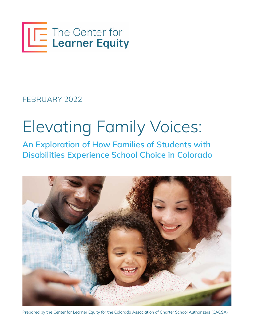

FEBRUARY 2022

# Elevating Family Voices:

An Exploration of How Families of Students with Disabilities Experience School Choice in Colorado



Prepared by the Center for Learner Equity for the Colorado Association of Charter School Authorizers (CACSA)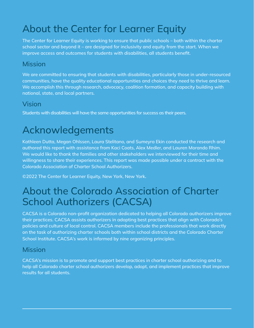## About the Center for Learner Equity

The Center for Learner Equity is working to ensure that public schools – both within the charter school sector and beyond it – are designed for inclusivity and equity from the start. When we improve access and outcomes for students with disabilities, all students benefit.

#### Mission

We are committed to ensuring that students with disabilities, particularly those in under-resourced communities, have the quality educational opportunities and choices they need to thrive and learn. We accomplish this through research, advocacy, coalition formation, and capacity building with national, state, and local partners.

#### Vision

Students with disabilities will have the same opportunities for success as their peers.

## Acknowledgements

Kathleen Dutta, Megan Ohlssen, Laura Stelitano, and Sumeyra Ekin conducted the research and authored this report with assistance from Kaci Coats, Alex Medler, and Lauren Morando Rhim. We would like to thank the families and other stakeholders we interviewed for their time and willingness to share their experiences. This report was made possible under a contract with the Colorado Association of Charter School Authorizers.

©2022 The Center for Learner Equity, New York, New York.

## About the Colorado Association of Charter School Authorizers (CACSA)

CACSA is a Colorado non-profit organization dedicated to helping all Colorado authorizers improve their practices. CACSA assists authorizers in adopting best practices that align with Colorado's policies and culture of local control. CACSA members include the professionals that work directly on the task of authorizing charter schools both within school districts and the Colorado Charter School Institute. CACSA's work is informed by nine organizing principles.

#### Mission

CACSA's mission is to promote and support best practices in charter school authorizing and to help all Colorado charter school authorizers develop, adopt, and implement practices that improve results for all students.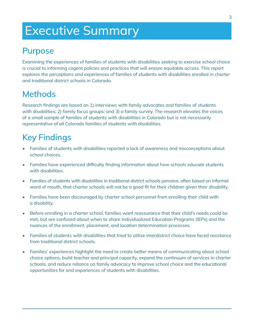## Executive Summary

### Purpose

Examining the experiences of families of students with disabilities seeking to exercise school choice is crucial to informing cogent policies and practices that will ensure equitable access. This report explores the perceptions and experiences of families of students with disabilities enrolled in charter and traditional district schools in Colorado.

### **Methods**

Research findings are based on 1) interviews with family advocates and families of students with disabilities; 2) family focus groups; and 3) a family survey. The research elevates the voices of a small sample of families of students with disabilities in Colorado but is not necessarily representative of all Colorado families of students with disabilities.

## Key Findings

- Families of students with disabilities reported a lack of awareness and misconceptions about school choices.
- Families have experienced difficulty finding information about how schools educate students with disabilities.
- Families of students with disabilities in traditional district schools perceive, often based on informal word of mouth, that charter schools will not be a good fit for their children given their disability.
- Families have been discouraged by charter school personnel from enrolling their child with a disability.
- Before enrolling in a charter school, families want reassurance that their child's needs could be met, but are confused about when to share Individualized Education Programs (IEPs) and the nuances of the enrollment, placement, and location determination processes.
- Families of students with disabilities that tried to utilize interdistrict choice have faced resistance from traditional district schools.
- Families' experiences highlight the need to create better means of communicating about school choice options, build teacher and principal capacity, expand the continuum of services in charter schools, and reduce reliance on family advocacy to improve school choice and the educational opportunities for and experiences of students with disabilities.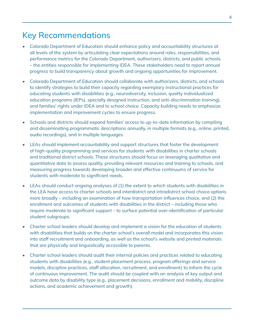### Key Recommendations

- Colorado Department of Education should enhance policy and accountability structures at all levels of the system by articulating clear expectations around roles, responsibilities, and performance metrics for the Colorado Department, authorizers, districts, and public schools – the entities responsible for implementing IDEA. These stakeholders need to report annual progress to build transparency about growth and ongoing opportunities for improvement.
- Colorado Department of Education should collaborate with authorizers, districts, and schools to identify strategies to build their capacity regarding exemplary instructional practices for educating students with disabilities (e.g., neurodiversity, inclusion, quality individualized education programs (IEPs), specially designed instruction, and anti-discrimination training), and families' rights under IDEA and to school choice. Capacity building needs to emphasize implementation and improvement cycles to ensure progress.
- Schools and districts should expand families' access to up-to-date information by compiling and disseminating programmatic descriptions annually, in multiple formats (e.g., online, printed, audio recordings), and in multiple languages.
- LEAs should implement accountability and support structures that foster the development of high-quality programming and services for students with disabilities in charter schools and traditional district schools. These structures should focus on leveraging qualitative and quantitative data to assess quality, providing relevant resources and training to schools, and measuring progress towards developing broader and effective continuums of service for students with moderate to significant needs.
- LEAs should conduct ongoing analyses of (1) the extent to which students with disabilities in the LEA have access to charter schools and interdistrict and intradistrict school choice options more broadly – including an examination of how transportation influences choice, and (2) the enrollment and outcomes of students with disabilities in the district – including those who require moderate to significant support – to surface potential over-identification of particular student subgroups.
- Charter school leaders should develop and implement a vision for the education of students with disabilities that builds on the charter school's overall model and incorporates this vision into staff recruitment and onboarding, as well as the school's website and printed materials that are physically and linguistically accessible to parents.
- Charter school leaders should audit their internal policies and practices related to educating students with disabilities (e.g., student placement process, program offerings and service models, discipline practices, staff allocation, recruitment, and enrollment) to inform the cycle of continuous improvement. The audit should be coupled with an analysis of key output and outcome data by disability type (e.g., placement decisions, enrollment and mobility, discipline actions, and academic achievement and growth).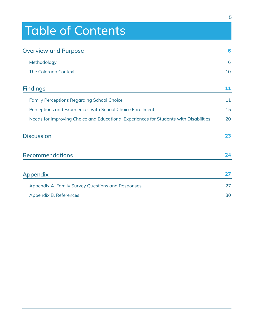## Table of Contents

| <b>Overview and Purpose</b>                                                           | 6  |
|---------------------------------------------------------------------------------------|----|
| Methodology                                                                           | 6  |
| <b>The Colorado Context</b>                                                           | 10 |
| <b>Findings</b>                                                                       | 11 |
| <b>Family Perceptions Regarding School Choice</b>                                     | 11 |
| Perceptions and Experiences with School Choice Enrollment                             | 15 |
| Needs for Improving Choice and Educational Experiences for Students with Disabilities | 20 |
| <b>Discussion</b>                                                                     | 23 |
| <b>Recommendations</b>                                                                | 24 |
| Appendix                                                                              | 27 |
| Appendix A. Family Survey Questions and Responses                                     | 27 |
| Appendix B. References                                                                | 30 |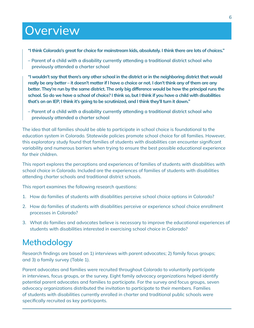## **Overview**

- "I think Colorado's great for choice for mainstream kids, absolutely. I think there are lots of choices."
- Parent of a child with a disability currently attending a traditional district school who previously attended a charter school

"I wouldn't say that there's any other school in the district or in the neighboring district that would really be any better – it doesn't matter if I have a choice or not. I don't think any of them are any better. They're run by the same district. The only big difference would be how the principal runs the school. So do we have a school of choice? I think so, but I think if you have a child with disabilities that's on an IEP, I think it's going to be scrutinized, and I think they'll turn it down."

– Parent of a child with a disability currently attending a traditional district school who previously attended a charter school

The idea that all families should be able to participate in school choice is foundational to the education system in Colorado. Statewide policies promote school choice for all families. However, this exploratory study found that families of students with disabilities can encounter significant variability and numerous barriers when trying to ensure the best possible educational experience for their children.

This report explores the perceptions and experiences of families of students with disabilities with school choice in Colorado. Included are the experiences of families of students with disabilities attending charter schools and traditional district schools.

This report examines the following research questions:

- 1. How do families of students with disabilities perceive school choice options in Colorado?
- 2. How do families of students with disabilities perceive or experience school choice enrollment processes in Colorado?
- 3. What do families and advocates believe is necessary to improve the educational experiences of students with disabilities interested in exercising school choice in Colorado?

### Methodology

Research findings are based on 1) interviews with parent advocates; 2) family focus groups; and 3) a family survey (Table 1).

Parent advocates and families were recruited throughout Colorado to voluntarily participate in interviews, focus groups, or the survey. Eight family advocacy organizations helped identify potential parent advocates and families to participate. For the survey and focus groups, seven advocacy organizations distributed the invitation to participate to their members. Families of students with disabilities currently enrolled in charter and traditional public schools were specifically recruited as key participants.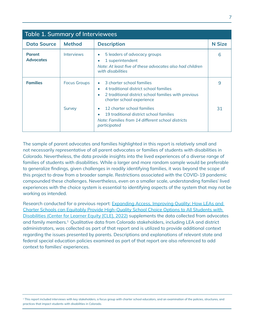| <b>Table 1. Summary of Interviewees</b> |                               |                                                                                                                                                                                                                                                                                                                                                                 |               |
|-----------------------------------------|-------------------------------|-----------------------------------------------------------------------------------------------------------------------------------------------------------------------------------------------------------------------------------------------------------------------------------------------------------------------------------------------------------------|---------------|
| <b>Data Source</b>                      | <b>Method</b>                 | <b>Description</b>                                                                                                                                                                                                                                                                                                                                              | <b>N</b> Size |
| <b>Parent</b><br><b>Advocates</b>       | <b>Interviews</b>             | 5 leaders of advocacy groups<br>$\bullet$<br>1 superintendent<br>$\bullet$<br>Note: At least five of these advocates also had children<br>with disabilities                                                                                                                                                                                                     | 6             |
| <b>Families</b>                         | <b>Focus Groups</b><br>Survey | 3 charter school families<br>$\bullet$<br>4 traditional district school families<br>$\bullet$<br>2 traditional district school families with previous<br>۰<br>charter school experience<br>12 charter school families<br>$\bullet$<br>19 traditional district school families<br>$\bullet$<br>Note: Families from 14 different school districts<br>participated | 9<br>31       |

The sample of parent advocates and families highlighted in this report is relatively small and not necessarily representative of all parent advocates or families of students with disabilities in Colorado. Nevertheless, the data provide insights into the lived experiences of a diverse range of families of students with disabilities. While a larger and more random sample would be preferable to generalize findings, given challenges in readily identifying families, it was beyond the scope of this project to draw from a broader sample. Restrictions associated with the COVID-19 pandemic compounded these challenges. Nevertheless, even on a smaller scale, understanding families' lived experiences with the choice system is essential to identifying aspects of the system that may not be working as intended.

Research conducted for a previous report: [Expanding Access, Improving Quality: How LEAs and](https://www.centerforlearnerequity.org/news/expanding-access-improving-quality-how-local-education-agencies-and-charter-schools-can-equitably-provide-high-quality-school-choice-options-to-all-students-with-disabilities-in-colorado/?preview_id=2320&preview_nonce=d281b5d59a&post_format=standard&_thumbnail_id=-1&preview=true)  [Charter Schools can Equitably Provide High-Quality School Choice Options to All Students with](https://www.centerforlearnerequity.org/news/expanding-access-improving-quality-how-local-education-agencies-and-charter-schools-can-equitably-provide-high-quality-school-choice-options-to-all-students-with-disabilities-in-colorado/?preview_id=2320&preview_nonce=d281b5d59a&post_format=standard&_thumbnail_id=-1&preview=true)  [Disabilities \(Center for Learner Equity \[CLE\], 2022\)](https://www.centerforlearnerequity.org/news/expanding-access-improving-quality-how-local-education-agencies-and-charter-schools-can-equitably-provide-high-quality-school-choice-options-to-all-students-with-disabilities-in-colorado/?preview_id=2320&preview_nonce=d281b5d59a&post_format=standard&_thumbnail_id=-1&preview=true) supplements the data collected from advocates and family members.<sup>1</sup> Qualitative data from Colorado stakeholders, including LEA and district administrators, was collected as part of that report and is utilized to provide additional context regarding the issues presented by parents. Descriptions and explanations of relevant state and federal special education policies examined as part of that report are also referenced to add context to families' experiences.

1 This report included interviews with key stakeholders, a focus group with charter school educators, and an examination of the policies, structures, and practices that impact students with disabilities in Colorado.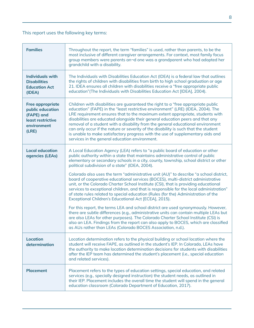#### This report uses the following key terms:

| <b>Families</b>                                                                                        | Throughout the report, the term "families" is used, rather than parents, to be the<br>most inclusive of different caregiver arrangements. For context, most family focus<br>group members were parents an-d one was a grandparent who had adopted her<br>grandchild with a disability.                                                                                                                                                                                                                                                                                                                                                                 |
|--------------------------------------------------------------------------------------------------------|--------------------------------------------------------------------------------------------------------------------------------------------------------------------------------------------------------------------------------------------------------------------------------------------------------------------------------------------------------------------------------------------------------------------------------------------------------------------------------------------------------------------------------------------------------------------------------------------------------------------------------------------------------|
| <b>Individuals with</b><br><b>Disabilities</b><br><b>Education Act</b><br>(IDEA)                       | The Individuals with Disabilities Education Act (IDEA) is a federal law that outlines<br>the rights of children with disabilities from birth to high school graduation or age<br>21. IDEA ensures all children with disabilities receive a "free appropriate public<br>education" (The Individuals with Disabilities Education Act [IDEA], 2004).                                                                                                                                                                                                                                                                                                      |
| <b>Free appropriate</b><br>public education<br>(FAPE) and<br>least restrictive<br>environment<br>(LRE) | Children with disabilities are guaranteed the right to a "free appropriate public<br>education" (FAPE) in the "least restrictive environment" (LRE) (IDEA, 2004). The<br>LRE requirement ensures that to the maximum extent appropriate, students with<br>disabilities are educated alongside their general education peers and that any<br>removal of a student with a disability from the general educational environment<br>can only occur if the nature or severity of the disability is such that the student<br>is unable to make satisfactory progress with the use of supplementary aids and<br>services in the general education environment. |
| <b>Local education</b><br>agencies (LEAs)                                                              | A Local Education Agency (LEA) refers to "a public board of education or other<br>public authority within a state that maintains administrative control of public<br>elementary or secondary schools in a city, county, township, school district or other<br>political subdivision of a state" (IDEA, 2004).                                                                                                                                                                                                                                                                                                                                          |
|                                                                                                        | Colorado also uses the term "administrative unit (AU)" to describe "a school district,<br>board of cooperative educational services (BOCES), multi-district administrative<br>unit, or the Colorado Charter School Institute (CSI), that is providing educational<br>services to exceptional children, and that is responsible for the local administration"<br>of state rules related to special education (Rules (for the) Administration of the<br>Exceptional Children's Educational Act [ECEA], 2015).                                                                                                                                            |
|                                                                                                        | For this report, the terms LEA and school district are used synonymously. However,<br>there are subtle differences (e.g., administrative units can contain multiple LEAs but<br>are also LEAs for other purposes). The Colorado Charter School Institute (CSI) is<br>also an LEA. Findings from the report can also apply to BOCES, which are classified<br>as AUs rather than LEAs (Colorado BOCES Association, n.d.).                                                                                                                                                                                                                                |
| <b>Location</b><br>determination                                                                       | Location determination refers to the physical building or school location where the<br>student will receive FAPE, as outlined in the student's IEP. In Colorado, LEAs have<br>the authority to make location determination decisions for students with disabilities<br>after the IEP team has determined the student's placement (i.e., special education<br>and related services).                                                                                                                                                                                                                                                                    |
| <b>Placement</b>                                                                                       | Placement refers to the types of education settings, special education, and related<br>services (e.g., specially designed instruction) the student needs, as outlined in<br>their IEP. Placement includes the overall time the student will spend in the general<br>education classroom (Colorado Department of Education, 2017).                                                                                                                                                                                                                                                                                                                      |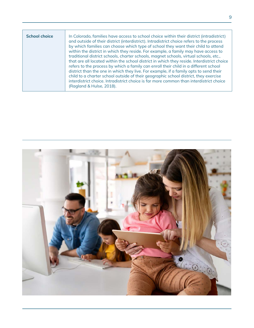| <b>School choice</b> | In Colorado, families have access to school choice within their district (intradistrict)<br>and outside of their district (interdistrict). Intradistrict choice refers to the process<br>by which families can choose which type of school they want their child to attend                                                                                                                                                                                                                                                                                                                                                                                                |
|----------------------|---------------------------------------------------------------------------------------------------------------------------------------------------------------------------------------------------------------------------------------------------------------------------------------------------------------------------------------------------------------------------------------------------------------------------------------------------------------------------------------------------------------------------------------------------------------------------------------------------------------------------------------------------------------------------|
|                      | within the district in which they reside. For example, a family may have access to<br>traditional district schools, charter schools, magnet schools, virtual schools, etc.,<br>that are all located within the school district in which they reside. Interdistrict choice<br>refers to the process by which a family can enroll their child in a different school<br>district than the one in which they live. For example, if a family opts to send their<br>child to a charter school outside of their geographic school district, they exercise<br>interdistrict choice. Intradistrict choice is far more common than interdistrict choice<br>(Ragland & Hulse, 2018). |

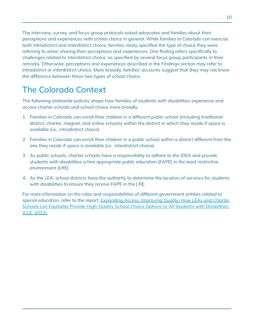The interview, survey, and focus group protocols asked advocates and families about their perceptions and experiences with school choice in general. While families in Colorado can exercise both intradistrict and interdistrict choice, families rarely specified the type of choice they were referring to when sharing their perceptions and experiences. One finding refers specifically to challenges related to interdistrict choice, as specified by several focus group participants in their remarks. Otherwise, perceptions and experiences described in the Findings section may refer to intradistrict or interdistrict choice. More broadly, families' accounts suggest that they may not know the difference between these two types of school choice.

### The Colorado Context

The following statewide policies shape how families of students with disabilities experience and access charter schools and school choice more broadly:

- 1. Families in Colorado can enroll their children in a different public school (including traditional district, charter, magnet, and online schools) within the district in which they reside if space is available (i.e., intradistrict choice).
- 2. Families in Colorado can enroll their children in a public school within a district different from the one they reside if space is available (i.e., interdistrict choice).
- 3. As public schools, charter schools have a responsibility to adhere to the IDEA and provide students with disabilities a free appropriate public education (FAPE) in the least restrictive environment (LRE).
- 4. As the LEA, school districts have the authority to determine the location of services for students with disabilities to ensure they receive FAPE in the LRE.

For more information on the roles and responsibilities of different government entities related to special education, refer to the report: Expanding Access, Improving Quality: How LEAs and Charter [Schools can Equitably Provide High-Quality School Choice Options to All Students with Disabilities](https://www.centerforlearnerequity.org/news/expanding-access-improving-quality-how-local-education-agencies-and-charter-schools-can-equitably-provide-high-quality-school-choice-options-to-all-students-with-disabilities-in-colorado/?preview_id=2320&preview_nonce=d281b5d59a&post_format=standard&_thumbnail_id=-1&preview=true)  [\(CLE, 2022\).](https://www.centerforlearnerequity.org/news/expanding-access-improving-quality-how-local-education-agencies-and-charter-schools-can-equitably-provide-high-quality-school-choice-options-to-all-students-with-disabilities-in-colorado/?preview_id=2320&preview_nonce=d281b5d59a&post_format=standard&_thumbnail_id=-1&preview=true)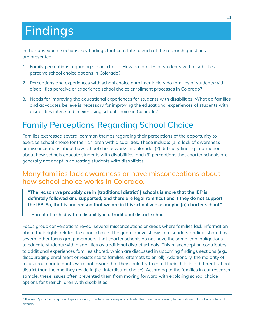## Findings

In the subsequent sections, key findings that correlate to each of the research questions are presented:

- 1. Family perceptions regarding school choice: How do families of students with disabilities perceive school choice options in Colorado?
- 2. Perceptions and experiences with school choice enrollment: How do families of students with disabilities perceive or experience school choice enrollment processes in Colorado?
- 3. Needs for improving the educational experiences for students with disabilities: What do families and advocates believe is necessary for improving the educational experiences of students with disabilities interested in exercising school choice in Colorado?

### Family Perceptions Regarding School Choice

Families expressed several common themes regarding their perceptions of the opportunity to exercise school choice for their children with disabilities. These include: (1) a lack of awareness or misconceptions about how school choice works in Colorado; (2) difficulty finding information about how schools educate students with disabilities; and (3) perceptions that charter schools are generally not adept in educating students with disabilities.

#### Many families lack awareness or have misconceptions about how school choice works in Colorado.

"The reason we probably are in [traditional district<sup>2</sup>] schools is more that the IEP is definitely followed and supported, and there are legal ramifications if they do not support the IEP. So, that is one reason that we are in this school versus maybe [a] charter school."

– Parent of a child with a disability in a traditional district school

Focus group conversations reveal several misconceptions or areas where families lack information about their rights related to school choice. The quote above shows a misunderstanding, shared by several other focus group members, that charter schools do not have the same legal obligations to educate students with disabilities as traditional district schools. This misconception contributes to additional experiences families shared, which are discussed in upcoming findings sections (e.g., discouraging enrollment or resistance to families' attempts to enroll). Additionally, the majority of focus group participants were not aware that they could try to enroll their child in a different school district than the one they reside in (i.e., interdistrict choice). According to the families in our research sample, these issues often prevented them from moving forward with exploring school choice options for their children with disabilities.

<sup>&</sup>lt;sup>2</sup> The word "public" was replaced to provide clarity. Charter schools are public schools. This parent was referring to the traditional district school her child attends.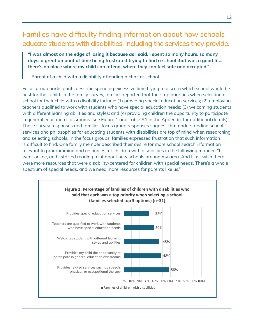#### Families have difficulty finding information about how schools educate students with disabilities, including the services they provide.

"I was almost on the edge of losing it because as I said, I spent so many hours, so many days, a great amount of time being frustrated trying to find a school that was a good fit… there's no place where my child can attend, where they can feel safe and accepted."

– Parent of a child with a disability attending a charter school

Focus group participants describe spending excessive time trying to discern which school would be best for their child. In the family survey, families reported that their top priorities when selecting a school for their child with a disability include: (1) providing special education services; (2) employing teachers qualified to work with students who have special education needs; (3) welcoming students with different learning abilities and styles; and (4) providing children the opportunity to participate in general education classrooms (see Figure 1 and Table A1 in the Appendix for additional details). These survey responses and families' focus group responses suggest that understanding school services and philosophies for educating students with disabilities are top of mind when researching and selecting schools. In the focus groups, families expressed frustration that such information is difficult to find. One family member described their desire for more school search information relevant to programming and resources for children with disabilities in the following manner: "I went online, and I started reading a lot about new schools around my area. And I just wish there were more resources that were disability-centered for children with special needs. There's a whole spectrum of special needs, and we need more resources for parents like us."

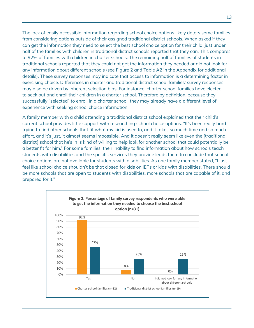The lack of easily accessible information regarding school choice options likely deters some families from considering options outside of their assigned traditional district schools. When asked if they can get the information they need to select the best school choice option for their child, just under half of the families with children in traditional district schools reported that they can. This compares to 92% of families with children in charter schools. The remaining half of families of students in traditional schools reported that they could not get the information they needed or did not look for any information about different schools (see Figure 2 and Table A2 in the Appendix for additional details). These survey responses may indicate that access to information is a determining factor in exercising choice. Differences in charter and traditional district school families' survey responses may also be driven by inherent selection bias. For instance, charter school families have elected to seek out and enroll their children in a charter school. Therefore by definition, because they successfully "selected" to enroll in a charter school, they may already have a different level of experience with seeking school choice information.

A family member with a child attending a traditional district school explained that their child's current school provides little support with researching school choice options: "It's been really hard trying to find other schools that fit what my kid is used to, and it takes so much time and so much effort, and it's just, it almost seems impossible. And it doesn't really seem like even the [traditional district] school that he's in is kind of willing to help look for another school that could potentially be a better fit for him." For some families, their inability to find information about how schools teach students with disabilities and the specific services they provide leads them to conclude that school choice options are not available for students with disabilities. As one family member stated, "I just feel like school choice shouldn't be that closed for kids on IEPs or kids with disabilities. There should be more schools that are open to students with disabilities, more schools that are capable of it, and prepared for it."

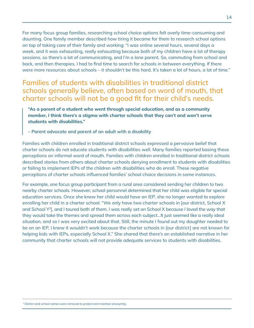For many focus group families, researching school choice options felt overly time-consuming and daunting. One family member described how tiring it became for them to research school options on top of taking care of their family and working: "I was online several hours, several days a week, and it was exhausting, really exhausting because both of my children have a lot of therapy sessions, so there's a lot of communicating, and I'm a lone parent. So, commuting from school and back, and then therapies, I had to find time to search for schools in between everything. If there were more resources about schools – it shouldn't be this hard. It's taken a lot of hours, a lot of time."

Families of students with disabilities in traditional district schools generally believe, often based on word of mouth, that charter schools will not be a good fit for their child's needs.

"As a parent of a student who went through special education, and as a community member, I think there's a stigma with charter schools that they can't and won't serve students with disabilities."

– Parent advocate and parent of an adult with a disability

Families with children enrolled in traditional district schools expressed a pervasive belief that charter schools do not educate students with disabilities well. Many families reported basing these perceptions on informal word of mouth. Families with children enrolled in traditional district schools described stories from others about charter schools denying enrollment to students with disabilities or failing to implement IEPs of the children with disabilities who do enroll. These negative perceptions of charter schools influenced families' school choice decisions in some instances.

For example, one focus group participant from a rural area considered sending her children to two nearby charter schools. However, school personnel determined that her child was eligible for special education services. Once she knew her child would have an IEP, she no longer wanted to explore enrolling her child in a charter school: "We only have two charter schools in [our district, School X and School Y<sup>3</sup>], and I toured both of them. I was really set on School X because I loved the way that they would take the themes and spread them across each subject…It just seemed like a really ideal situation, and so I was very excited about that. Still, the minute I found out my daughter needed to be on an IEP, I knew it wouldn't work because the charter schools in [our district] are not known for helping kids with IEPs, especially School X." She shared that there's an established narrative in her community that charter schools will not provide adequate services to students with disabilities.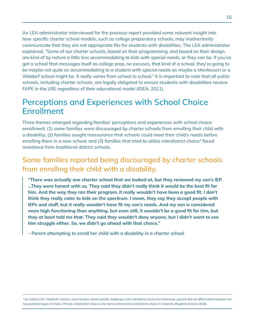An LEA administrator interviewed for the previous report provided some relevant insight into how specific charter school models, such as college preparatory schools, may inadvertently communicate that they are not appropriate fits for students with disabilities. The LEA administrator explained, "Some of our charter schools, based on their programming, and based on their design, are kind of by nature a little less accommodating to kids with special needs, or they can be. If you've got a school that messages itself as college prep, no excuses, that kind of a school, they're going to be maybe not quite as accommodating to a student with special needs as maybe a Montessori or a Waldorf school might be. It really varies from school to school." It is important to note that all public schools, including charter schools, are legally obligated to ensure students with disabilities receive FAPE in the LRE regardless of their educational model (IDEA, 2011).

#### Perceptions and Experiences with School Choice Enrollment

Three themes emerged regarding families' perceptions and experiences with school choice enrollment: (1) some families were discouraged by charter schools from enrolling their child with a disability; (2) families sought reassurance that schools could meet their child's needs before enrolling them in a new school; and (3) families that tried to utilize interdistrict choice<sup>4</sup> faced resistance from traditional district schools.

#### Some families reported being discouraged by charter schools from enrolling their child with a disability.

"There was actually one charter school that we looked at, but they reviewed my son's IEP. …They were honest with us. They said they didn't really think it would be the best fit for him. And the way they ran their program, it really wouldn't have been a good fit. I don't think they really cater to kids on the spectrum. I mean, they say they accept people with IEPs and stuff, but it really wouldn't have fit my son's needs. And my son is considered more high functioning than anything, but even still, it wouldn't be a good fit for him, but they at least told me that. They said they wouldn't deny anyone, but I didn't want to see him struggle either. So, we didn't go ahead with that choice."

– Parent attempting to enroll her child with a disability in a charter school

<sup>4</sup> As noted in the "Methods" section, some families raised specific challenges with interdistrict choice but otherwise, parents did not differentiate between the two potential types of choice. Of note, intradistrict choice is far more common than interdistrict choice in Colorado (Ragland & Hulse 2018).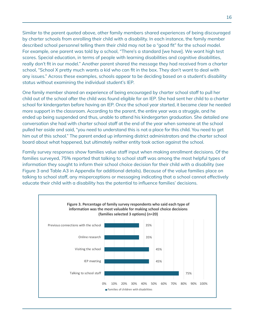Similar to the parent quoted above, other family members shared experiences of being discouraged by charter schools from enrolling their child with a disability. In each instance, the family member described school personnel telling them their child may not be a "good fit" for the school model. For example, one parent was told by a school, "There's a standard [we have]. We want high test scores. Special education, in terms of people with learning disabilities and cognitive disabilities, really don't fit in our model." Another parent shared the message they had received from a charter school, "School X pretty much wants a kid who can fit in the box. They don't want to deal with any issues." Across these examples, schools appear to be deciding based on a student's disability status without examining the individual student's IEP.

One family member shared an experience of being encouraged by charter school staff to pull her child out of the school after the child was found eligible for an IEP. She had sent her child to a charter school for kindergarten before having an IEP. Once the school year started, it became clear he needed more support in the classroom. According to the parent, the entire year was a struggle, and he ended up being suspended and thus, unable to attend his kindergarten graduation. She detailed one conversation she had with charter school staff at the end of the year when someone at the school pulled her aside and said, "you need to understand this is not a place for this child. You need to get him out of this school." The parent ended up informing district administrators and the charter school board about what happened, but ultimately neither entity took action against the school.

Family survey responses show families value staff input when making enrollment decisions. Of the families surveyed, 75% reported that talking to school staff was among the most helpful types of information they sought to inform their school choice decision for their child with a disability (see Figure 3 and Table A3 in Appendix for additional details). Because of the value families place on talking to school staff, any misperceptions or messaging indicating that a school cannot effectively educate their child with a disability has the potential to influence families' decisions.

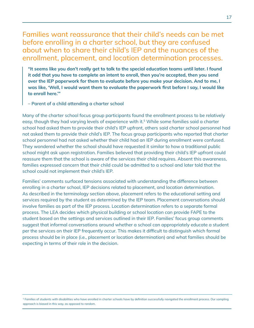#### Families want reassurance that their child's needs can be met before enrolling in a charter school, but they are confused about when to share their child's IEP and the nuances of the enrollment, placement, and location determination processes.

"It seems like you don't really get to talk to the special education teams until later. I found it odd that you have to complete an intent to enroll, then you're accepted, then you send over the IEP paperwork for them to evaluate before you make your decision. And to me, I was like, 'Well, I would want them to evaluate the paperwork first before I say, I would like to enroll here.'"

– Parent of a child attending a charter school

Many of the charter school focus group participants found the enrollment process to be relatively easy, though they had varying levels of experience with it.<sup>5</sup> While some families said a charter school had asked them to provide their child's IEP upfront, others said charter school personnel had not asked them to provide their child's IEP. The focus group participants who reported that charter school personnel had not asked whether their child had an IEP during enrollment were confused. They wondered whether the school should have requested it similar to how a traditional public school might ask upon registration. Families believed that providing their child's IEP upfront could reassure them that the school is aware of the services their child requires. Absent this awareness, families expressed concern that their child could be admitted to a school and later told that the school could not implement their child's IEP.

Families' comments surfaced tensions associated with understanding the difference between enrolling in a charter school, IEP decisions related to placement, and location determination. As described in the terminology section above, placement refers to the educational setting and services required by the student as determined by the IEP team. Placement conversations should involve families as part of the IEP process. Location determination refers to a separate formal process. The LEA decides which physical building or school location can provide FAPE to the student based on the settings and services outlined in their IEP. Families' focus group comments suggest that informal conversations around whether a school can appropriately educate a student per the services on their IEP frequently occur. This makes it difficult to distinguish which formal process should be in place (i.e., placement or location determination) and what families should be expecting in terms of their role in the decision.

<sup>&</sup>lt;sup>5</sup> Families of students with disabilities who have enrolled in charter schools have by definition successfully navigated the enrollment process. Our sampling approach is biased in this way, as opposed to random.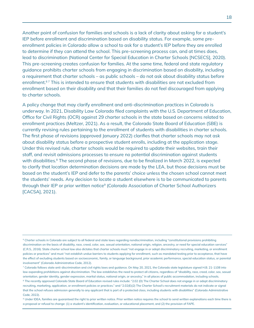Another point of confusion for families and schools is a lack of clarity about asking for a student's IEP before enrollment and discrimination based on disability status. For example, some preenrollment policies in Colorado allow a school to ask for a student's IEP before they are enrolled to determine if they can attend the school. This pre-screening process can, and at times does, lead to discrimination (National Center for Special Education in Charter Schools [NCSECS], 2020). This pre-screening creates confusion for families. At the same time, federal and state regulatory guidance prohibits charter schools from engaging in discrimination based on disability, including a requirement that charter schools – as public schools – do not ask about disability status before enrollment.<sup>67</sup> This is intended to ensure that students with disabilities are not excluded from enrollment based on their disability and that their families do not feel discouraged from applying to charter schools.

A policy change that may clarify enrollment and anti-discrimination practices in Colorado is underway. In 2021, Disability Law Colorado filed complaints with the U.S. Department of Education, Office for Civil Rights (OCR) against 29 charter schools in the state based on concerns related to enrollment practices (Meltzer, 2021). As a result, the Colorado State Board of Education (SBE) is currently revising rules pertaining to the enrollment of students with disabilities in charter schools. The first phase of revisions (approved January 2022) clarifies that charter schools may not ask about disability status before a prospective student enrolls, including at the application stage. Under this revised rule, charter schools would be required to update their websites, train their staff, and revisit admissions processes to ensure no potential discrimination against students with disabilities.<sup>8</sup> The second phase of revisions, due to be finalized in March 2022, is expected to clarify that location determination decisions are made by the LEA, but those decisions must be based on the student's IEP and defer to the parents' choice unless the chosen school cannot meet the students' needs. Any decision to locate a student elsewhere is to be communicated to parents through their IEP or prior written notice<sup>9</sup> (Colorado Association of Charter School Authorizers [CACSA], 2021).

<sup>9</sup> Under IDEA, families are quaranteed the right to prior written notice. Prior written notice requires the school to send written explanations each time there is a proposal or refusal to change: (1) a student's identification, evaluation, or educational placement, and (2) the provision of FAPE.

<sup>&</sup>lt;sup>6</sup> Charter schools in Colorado are subject to all federal and state laws regarding nondiscrimination, including "constitutional provisions prohibiting discrimination on the basis of disability, race, creed, color, sex, sexual orientation, national origin, religion, ancestry, or need for special education services" (C.R.S., 2016). State charter school law also dictates that charter schools must "not engage in or adopt discriminatory recruiting, marketing, or enrollment policies or practices" and must "not establish undue barriers to students applying for enrollment, such as mandated testing prior to acceptance, that have the effect of excluding students based on socioeconomic, family, or language background, prior academic performance, special education status, or parental involvement" (Colorado Administrative Code, 2012).

<sup>7</sup> Colorado follows state anti-discrimination and civil rights laws and guidance. On May 20, 2021, the Colorado state legislature signed H.B. 21-1108 into law expanding prohibitions against discrimination. The law establishes the need to protect all citizens, regardless of "disability, race, creed, color, sex, sexual orientation, gender identity, gender expression, marital status, national origin, or ancestry," in all places of public accommodation, including schools.

<sup>&</sup>lt;sup>8</sup> The recently approved Colorado State Board of Education revised rules include: "2.02 (D) The Charter School does not engage in or adopt discriminatory recruiting, marketing, application, or enrollment policies or practices." and "2.02(E)(2) The Charter School's recruitment materials do not indicate or signal that the school refuses admission generally to any applicant that is part of a protected class, including students with disabilities" (Colorado Administrative Code, 2022).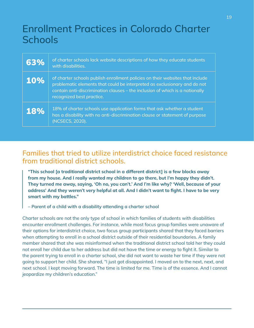## Enrollment Practices in Colorado Charter **Schools**

| 63%        | of charter schools lack website descriptions of how they educate students<br>with disabilities.                                                                                                                                                                         |
|------------|-------------------------------------------------------------------------------------------------------------------------------------------------------------------------------------------------------------------------------------------------------------------------|
| <b>10%</b> | of charter schools publish enrollment policies on their websites that include<br>problematic elements that could be interpreted as exclusionary and do not<br>contain anti-discrimination clauses – the inclusion of which is a nationally<br>recognized best practice. |
| <b>18%</b> | 18% of charter schools use application forms that ask whether a student<br>has a disability with no anti-discrimination clause or statement of purpose<br>(NCSECS, 2020).                                                                                               |

#### Families that tried to utilize interdistrict choice faced resistance from traditional district schools.

"This school [a traditional district school in a different district] is a few blocks away from my house. And I really wanted my children to go there, but I'm happy they didn't. They turned me away, saying, 'Oh no, you can't.' And I'm like why? 'Well, because of your address' And they weren't very helpful at all. And I didn't want to fight. I have to be very smart with my battles."

– Parent of a child with a disability attending a charter school

Charter schools are not the only type of school in which families of students with disabilities encounter enrollment challenges. For instance, while most focus group families were unaware of their options for interdistrict choice, two focus group participants shared that they faced barriers when attempting to enroll in a school district outside of their residential boundaries. A family member shared that she was misinformed when the traditional district school told her they could not enroll her child due to her address but did not have the time or energy to fight it. Similar to the parent trying to enroll in a charter school, she did not want to waste her time if they were not going to support her child. She shared, "I just got disappointed. I moved on to the next, next, and next school. I kept moving forward. The time is limited for me. Time is of the essence. And I cannot jeopardize my children's education."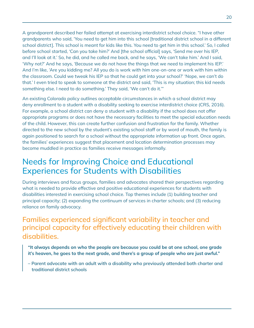A grandparent described her failed attempt at exercising interdistrict school choice. "I have other grandparents who said, 'You need to get him into this school [traditional district school in a different school district]. This school is meant for kids like this. You need to get him in this school.' So, I called before school started, 'Can you take him?' And [the school official] says, 'Send me over his IEP, and I'll look at it.' So, he did, and he called me back, and he says, 'We can't take him.' And I said, 'Why not?' And he says, 'Because we do not have the things that we need to implement his IEP.' And I'm like, 'Are you kidding me? All you do is work with him one-on-one or work with him within the classroom. Could we tweak his IEP so that he could get into your school?' 'Nope, we can't do that.' I even tried to speak to someone at the district and said, 'This is my situation; this kid needs something else. I need to do something.' They said, 'We can't do it.'"

An existing Colorado policy outlines acceptable circumstances in which a school district may deny enrollment to a student with a disability seeking to exercise interdistrict choice (CRS, 2016). For example, a school district can deny a student with a disability if the school does not offer appropriate programs or does not have the necessary facilities to meet the special education needs of the child. However, this can create further confusion and frustration for the family. Whether directed to the new school by the student's existing school staff or by word of mouth, the family is again positioned to search for a school without the appropriate information up front. Once again, the families' experiences suggest that placement and location determination processes may become muddled in practice as families receive messages informally.

### Needs for Improving Choice and Educational Experiences for Students with Disabilities

During interviews and focus groups, families and advocates shared their perspectives regarding what is needed to provide effective and positive educational experiences for students with disabilities interested in exercising school choice. Top themes include (1) building teacher and principal capacity; (2) expanding the continuum of services in charter schools; and (3) reducing reliance on family advocacy.

#### Families experienced significant variability in teacher and principal capacity for effectively educating their children with disabilities.

- "It always depends on who the people are because you could be at one school, one grade it's heaven, he goes to the next grade, and there's a group of people who are just awful."
- Parent advocate with an adult with a disability who previously attended both charter and traditional district schools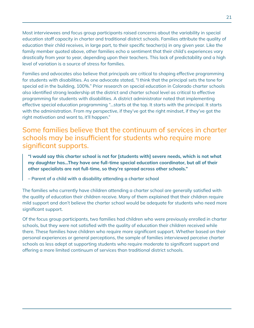Most interviewees and focus group participants raised concerns about the variability in special education staff capacity in charter and traditional district schools. Families attribute the quality of education their child receives, in large part, to their specific teacher(s) in any given year. Like the family member quoted above, other families echo a sentiment that their child's experiences vary drastically from year to year, depending upon their teachers. This lack of predictability and a high level of variation is a source of stress for families.

Families and advocates also believe that principals are critical to shaping effective programming for students with disabilities. As one advocate stated, "I think that the principal sets the tone for special ed in the building, 100%." Prior research on special education in Colorado charter schools also identified strong leadership at the district and charter school level as critical to effective programming for students with disabilities. A district administrator noted that implementing effective special education programming "...starts at the top. It starts with the principal. It starts with the administration. From my perspective, if they've got the right mindset, if they've got the right motivation and want to, it'll happen."

Some families believe that the continuum of services in charter schools may be insufficient for students who require more significant supports.

"I would say this charter school is not for [students with] severe needs, which is not what my daughter has…They have one full-time special education coordinator, but all of their other specialists are not full-time, so they're spread across other schools."

– Parent of a child with a disability attending a charter school

The families who currently have children attending a charter school are generally satisfied with the quality of education their children receive. Many of them explained that their children require mild support and don't believe the charter school would be adequate for students who need more significant support.

Of the focus group participants, two families had children who were previously enrolled in charter schools, but they were not satisfied with the quality of education their children received while there. These families have children who require more significant support. Whether based on their personal experiences or general perceptions, the sample of families interviewed perceive charter schools as less adept at supporting students who require moderate to significant support and offering a more limited continuum of services than traditional district schools.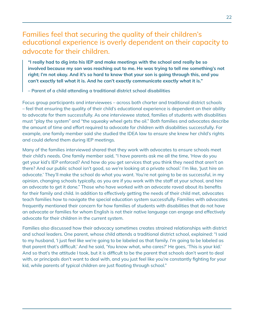#### Families feel that securing the quality of their children's educational experience is overly dependent on their capacity to advocate for their children.

"I really had to dig into his IEP and make meetings with the school and really be so involved because my son was reaching out to me. He was trying to tell me something's not right; I'm not okay. And it's so hard to know that your son is going through this, and you can't exactly tell what it is. And he can't exactly communicate exactly what it is."

– Parent of a child attending a traditional district school disabilities

Focus group participants and interviewees – across both charter and traditional district schools – feel that ensuring the quality of their child's educational experience is dependent on their ability to advocate for them successfully. As one interviewee stated, families of students with disabilities must "play the system" and "the squeaky wheel gets the oil." Both families and advocates describe the amount of time and effort required to advocate for children with disabilities successfully. For example, one family member said she studied the IDEA law to ensure she knew her child's rights and could defend them during IEP meetings.

Many of the families interviewed shared that they work with advocates to ensure schools meet their child's needs. One family member said, "I have parents ask me all the time, 'How do you get your kid's IEP enforced? And how do you get services that you think they need that aren't on there? And our public school isn't good, so we're looking at a private school.' I'm like, 'Just hire an advocate.' They'll make the school do what you want. You're not going to be as successful, in my opinion, changing schools typically, as you are if you work with the staff at your school, and hire an advocate to get it done." Those who have worked with an advocate raved about its benefits for their family and child. In addition to effectively getting the needs of their child met, advocates teach families how to navigate the special education system successfully. Families with advocates frequently mentioned their concern for how families of students with disabilities that do not have an advocate or families for whom English is not their native language can engage and effectively advocate for their children in the current system.

Families also discussed how their advocacy sometimes creates strained relationships with district and school leaders. One parent, whose child attends a traditional district school, explained: "I said to my husband, 'I just feel like we're going to be labeled as that family. I'm going to be labeled as that parent that's difficult.' And he said, 'You know what, who cares?' He goes, 'This is your kid.' And so that's the attitude I took, but it is difficult to be the parent that schools don't want to deal with, or principals don't want to deal with, and you just feel like you're constantly fighting for your kid, while parents of typical children are just floating through school."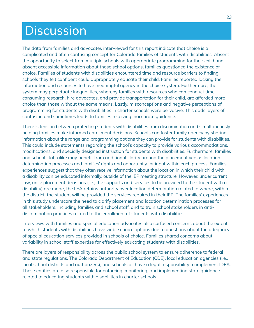## **Discussion**

The data from families and advocates interviewed for this report indicate that choice is a complicated and often confusing concept for Colorado families of students with disabilities. Absent the opportunity to select from multiple schools with appropriate programming for their child and absent accessible information about those school options, families questioned the existence of choice. Families of students with disabilities encountered time and resource barriers to finding schools they felt confident could appropriately educate their child. Families reported lacking the information and resources to have meaningful agency in the choice system. Furthermore, the system may perpetuate inequalities, whereby families with resources who can conduct timeconsuming research, hire advocates, and provide transportation for their child, are afforded more choice than those without the same means. Lastly, misconceptions and negative perceptions of programming for students with disabilities in charter schools were pervasive. This adds layers of confusion and sometimes leads to families receiving inaccurate guidance.

There is tension between protecting students with disabilities from discrimination and simultaneously helping families make informed enrollment decisions. Schools can foster family agency by sharing information about the range and programming options they can provide for students with disabilities. This could include statements regarding the school's capacity to provide various accommodations, modifications, and specially designed instruction for students with disabilities. Furthermore, families and school staff alike may benefit from additional clarity around the placement versus location determination processes and families' rights and opportunity for input within each process. Families' experiences suggest that they often receive information about the location in which their child with a disability can be educated informally, outside of the IEP meeting structure. However, under current law, once placement decisions (i.e., the supports and services to be provided to the student with a disability) are made, the LEA retains authority over location determination related to where, within the district, the student will be provided the services required in their IEP. The families' experiences in this study underscore the need to clarify placement and location determination processes for all stakeholders, including families and school staff, and to train school stakeholders in antidiscrimination practices related to the enrollment of students with disabilities.

Interviews with families and special education advocates also surfaced concerns about the extent to which students with disabilities have viable choice options due to questions about the adequacy of special education services provided in schools of choice. Families shared concerns about variability in school staff expertise for effectively educating students with disabilities.

There are layers of responsibility across the public school system to ensure adherence to federal and state regulations. The Colorado Department of Education (CDE), local education agencies (i.e., local school districts and authorizers), and schools all have a legal responsibility to implement IDEA. These entities are also responsible for enforcing, monitoring, and implementing state guidance related to educating students with disabilities in charter schools.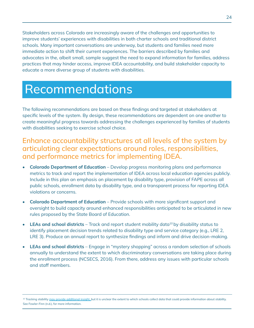Stakeholders across Colorado are increasingly aware of the challenges and opportunities to improve students' experiences with disabilities in both charter schools and traditional district schools. Many important conversations are underway, but students and families need more immediate action to shift their current experiences. The barriers described by families and advocates in the, albeit small, sample suggest the need to expand information for families, address practices that may hinder access, improve IDEA accountability, and build stakeholder capacity to educate a more diverse group of students with disabilities.

## Recommendations

The following recommendations are based on these findings and targeted at stakeholders at specific levels of the system. By design, these recommendations are dependent on one another to create meaningful progress towards addressing the challenges experienced by families of students with disabilities seeking to exercise school choice.

#### Enhance accountability structures at all levels of the system by articulating clear expectations around roles, responsibilities, and performance metrics for implementing IDEA.

- Colorado Department of Education Develop progress monitoring plans and performance metrics to track and report the implementation of IDEA across local education agencies publicly. Include in this plan an emphasis on placement by disability type, provision of FAPE across all public schools, enrollment data by disability type, and a transparent process for reporting IDEA violations or concerns.
- Colorado Department of Education Provide schools with more significant support and oversight to build capacity around enhanced responsibilities anticipated to be articulated in new rules proposed by the State Board of Education.
- LEAs and school districts Track and report student mobility data<sup>10</sup> by disability status to identify placement decision trends related to disability type and service category (e.g., LRE 2, LRE 3). Produce an annual report to synthesize findings and inform and drive decision-making.
- LEAs and school districts Engage in "mystery shopping" across a random selection of schools annually to understand the extent to which discriminatory conversations are taking place during the enrollment process (NCSECS, 2016). From there, address any issues with particular schools and staff members.

<sup>&</sup>lt;sup>10</sup> Tracking stability [may provide additional insight, b](https://www.aasa.org/schooladministratorarticle.aspx?id=10784)ut it is unclear the extent to which schools collect data that could provide information about stability. See Fowler-Finn (n.d.), for more information.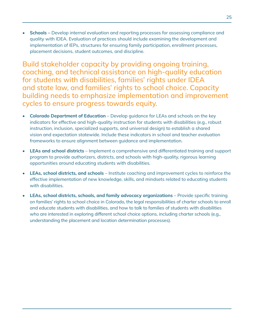**Schools** – Develop internal evaluation and reporting processes for assessing compliance and quality with IDEA. Evaluation of practices should include examining the development and implementation of IEPs, structures for ensuring family participation, enrollment processes, placement decisions, student outcomes, and discipline.

Build stakeholder capacity by providing ongoing training, coaching, and technical assistance on high-quality education for students with disabilities, families' rights under IDEA and state law, and families' rights to school choice. Capacity building needs to emphasize implementation and improvement cycles to ensure progress towards equity.

- Colorado Department of Education Develop guidance for LEAs and schools on the key indicators for effective and high-quality instruction for students with disabilities (e.g., robust instruction, inclusion, specialized supports, and universal design) to establish a shared vision and expectation statewide. Include these indicators in school and teacher evaluation frameworks to ensure alignment between guidance and implementation.
- LEAs and school districts Implement a comprehensive and differentiated training and support program to provide authorizers, districts, and schools with high-quality, rigorous learning opportunities around educating students with disabilities.
- LEAs, school districts, and schools Institute coaching and improvement cycles to reinforce the effective implementation of new knowledge, skills, and mindsets related to educating students with disabilities.
- LEAs, school districts, schools, and family advocacy organizations Provide specific training on families' rights to school choice in Colorado, the legal responsibilities of charter schools to enroll and educate students with disabilities, and how to talk to families of students with disabilities who are interested in exploring different school choice options, including charter schools (e.g., understanding the placement and location determination processes).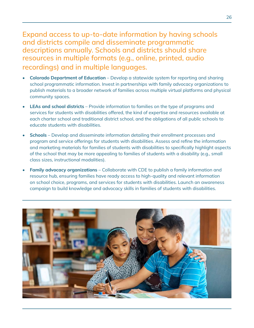Expand access to up-to-date information by having schools and districts compile and disseminate programmatic descriptions annually. Schools and districts should share resources in multiple formats (e.g., online, printed, audio recordings) and in multiple languages.

- Colorado Department of Education Develop a statewide system for reporting and sharing school programmatic information. Invest in partnerships with family advocacy organizations to publish materials to a broader network of families across multiple virtual platforms and physical community spaces.
- **LEAs and school districts** Provide information to families on the type of programs and services for students with disabilities offered, the kind of expertise and resources available at each charter school and traditional district school, and the obligations of all public schools to educate students with disabilities.
- Schools Develop and disseminate information detailing their enrollment processes and program and service offerings for students with disabilities. Assess and refine the information and marketing materials for families of students with disabilities to specifically highlight aspects of the school that may be more appealing to families of students with a disability (e.g., small class sizes, instructional modalities).
- **Family advocacy organizations** Collaborate with CDE to publish a family information and resource hub, ensuring families have ready access to high-quality and relevant information on school choice, programs, and services for students with disabilities. Launch an awareness campaign to build knowledge and advocacy skills in families of students with disabilities.

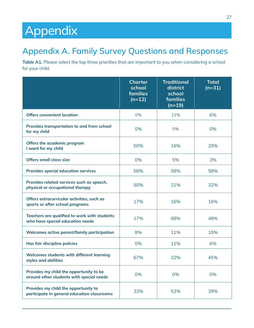## Appendix

### Appendix A. Family Survey Questions and Responses

Table A1. Please select the top three priorities that are important to you when considering a school for your child.

|                                                                                     | <b>Charter</b><br>school<br>families<br>$(n=12)$ | <b>Traditional</b><br>district<br>school<br>families<br>$(n=19)$ | <b>Total</b><br>$(n=31)$ |
|-------------------------------------------------------------------------------------|--------------------------------------------------|------------------------------------------------------------------|--------------------------|
| <b>Offers convenient location</b>                                                   | 0%                                               | 11%                                                              | 6%                       |
| Provides transportation to and from school<br>for my child                          | 0%                                               | 0%                                                               | 0%                       |
| Offers the academic program<br>I want for my child                                  | 50%                                              | 16%                                                              | 29%                      |
| <b>Offers small class size</b>                                                      | 0%                                               | 5%                                                               | 3%                       |
| <b>Provides special education services</b>                                          | 58%                                              | 58%                                                              | 58%                      |
| Provides related services such as speech,<br>physical or occupational therapy       | 50%                                              | 21%                                                              | 32%                      |
| Offers extracurricular activities, such as<br>sports or after school programs       | 17%                                              | 16%                                                              | 16%                      |
| Teachers are qualified to work with students<br>who have special education needs    | 17%                                              | 68%                                                              | 48%                      |
| Welcomes active parent/family participation                                         | 8%                                               | 11%                                                              | 10%                      |
| Has fair discipline policies                                                        | 0%                                               | 11%                                                              | 6%                       |
| Welcomes students with different learning<br>styles and abilities                   | 67%                                              | 32%                                                              | 45%                      |
| Provides my child the opportunity to be<br>around other students with special needs | 0%                                               | 0%                                                               | 0%                       |
| Provides my child the opportunity to<br>participate in general education classrooms | 33%                                              | 53%                                                              | 39%                      |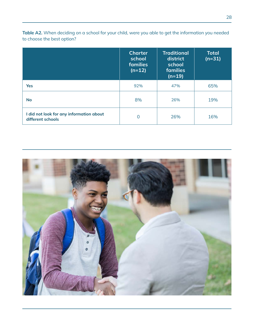Table A2. When deciding on a school for your child, were you able to get the information you needed to choose the best option?

|                                                               | <b>Charter</b><br>school<br><b>families</b><br>$(n=12)$ | <b>Traditional</b><br>district<br>school<br>families<br>$(n=19)$ | <b>Total</b><br>$(n=31)$ |
|---------------------------------------------------------------|---------------------------------------------------------|------------------------------------------------------------------|--------------------------|
| <b>Yes</b>                                                    | 92%                                                     | 47%                                                              | 65%                      |
| <b>No</b>                                                     | 8%                                                      | 26%                                                              | 19%                      |
| I did not look for any information about<br>different schools | 0                                                       | 26%                                                              | 16%                      |

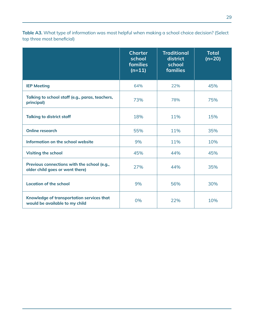Table A3. What type of information was most helpful when making a school choice decision? (Select top three most beneficial)

|                                                                                | <b>Charter</b><br>school<br>families<br>$(n=11)$ | <b>Traditional</b><br>district<br>school<br>families | <b>Total</b><br>$(n=20)$ |
|--------------------------------------------------------------------------------|--------------------------------------------------|------------------------------------------------------|--------------------------|
| <b>IEP Meeting</b>                                                             | 64%                                              | 22%                                                  | 45%                      |
| Talking to school staff (e.g., paras, teachers,<br>principal)                  | 73%                                              | 78%                                                  | 75%                      |
| <b>Talking to district staff</b>                                               | 18%                                              | 11%                                                  | 15%                      |
| <b>Online research</b>                                                         | 55%                                              | 11%                                                  | 35%                      |
| Information on the school website                                              | 9%                                               | 11%                                                  | 10%                      |
| <b>Visiting the school</b>                                                     | 45%                                              | 44%                                                  | 45%                      |
| Previous connections with the school (e.g.,<br>older child goes or went there) | 27%                                              | 44%                                                  | 35%                      |
| <b>Location of the school</b>                                                  | 9%                                               | 56%                                                  | 30%                      |
| Knowledge of transportation services that<br>would be available to my child    | 0%                                               | 22%                                                  | 10%                      |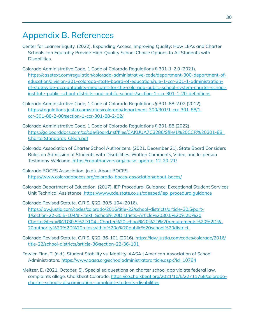### Appendix B. References

- Center for Learner Equity. (2022). Expanding Access, Improving Quality: How LEAs and Charter Schools can Equitably Provide High-Quality School Choice Options to All Students with Disabilities.
- Colorado Administrative Code, 1 Code of Colorado Regulations § 301-1-2.0 (2021). https://casetext.com/regulation/colorado-administrative-code/department-300-department-ofeducation/division-301-colorado-state-board-of-education/rule-1-ccr-301-1-administrationof-statewide-accountability-measures-for-the-colorado-public-school-system-charter-schoolinstitute-public-school-districts-and-public-schools/section-1-ccr-301-1-20-definitions
- Colorado Administrative Code, 1 Code of Colorado Regulations § 301-88-2.02 (2012). [https://regulations.justia.com/states/colorado/department-300/301/1-ccr-301-88/1](https://regulations.justia.com/states/colorado/department-300/301/1-ccr-301-88/1-ccr-301-88-2-00/section-1-ccr-301-88-2-02/) [ccr-301-88-2-00/section-1-ccr-301-88-2-02/](https://regulations.justia.com/states/colorado/department-300/301/1-ccr-301-88/1-ccr-301-88-2-00/section-1-ccr-301-88-2-02/)
- Colorado Administrative Code, 1 Code of Colorado Regulations § 301-88 (2022). [https://go.boarddocs.com/co/cde/Board.nsf/files/CAKUUA7C3286/\\$file/1%20CCR%20301-88\\_](https://go.boarddocs.com/co/cde/Board.nsf/files/CAKUUA7C3286/$file/1%20CCR%20301-88_CharterStandards_Clean.pdf) [CharterStandards\\_Clean.pdf](https://go.boarddocs.com/co/cde/Board.nsf/files/CAKUUA7C3286/$file/1%20CCR%20301-88_CharterStandards_Clean.pdf)
- Colorado Association of Charter School Authorizers. (2021, December 21). State Board Considers Rules on Admission of Students with Disabilities: Written Comments, Video, and In-person Testimony Welcome. <https://coauthorizers.org/cacsa-update-12-20-21/>
- Colorado BOCES Association. (n.d.). About BOCES. <https://www.coloradoboces.org/colorado-boces-association/about-boces/>
- Colorado Department of Education. (2017). IEP Procedural Guidance: Exceptional Student Services Unit Technical Assistance. [https://www.cde.state.co.us/cdesped/iep\\_proceduralguidance](https://www.cde.state.co.us/cdesped/iep_proceduralguidance)
- Colorado Revised Statute, C.R.S. § 22-30.5-104 (2016). [https://law.justia.com/codes/colorado/2016/title-22/school-districts/article-30.5/part-](https://law.justia.com/codes/colorado/2016/title-22/school-districts/article-30.5/part-1/section-22-30.5-104/#:~:text=School%20Districts,-Article%2030.5%20%2D%20Charter&text=%2D30.5%2D104.-,Charter%20school%20%2D%20requirements%20%2D%20authority%20%2D%20rules,within%20a%20public%20school%20district.)[1/section-22-30.5-104/#:~:text=School%20Districts,-Article%2030.5%20%2D%20](https://law.justia.com/codes/colorado/2016/title-22/school-districts/article-30.5/part-1/section-22-30.5-104/#:~:text=School%20Districts,-Article%2030.5%20%2D%20Charter&text=%2D30.5%2D104.-,Charter%20school%20%2D%20requirements%20%2D%20authority%20%2D%20rules,within%20a%20public%20school%20district.) [Charter&text=%2D30.5%2D104.-,Charter%20school%20%2D%20requirements%20%2D%-](https://law.justia.com/codes/colorado/2016/title-22/school-districts/article-30.5/part-1/section-22-30.5-104/#:~:text=School%20Districts,-Article%2030.5%20%2D%20Charter&text=%2D30.5%2D104.-,Charter%20school%20%2D%20requirements%20%2D%20authority%20%2D%20rules,within%20a%20public%20school%20district.) [20authority%20%2D%20rules,within%20a%20public%20school%20district](https://law.justia.com/codes/colorado/2016/title-22/school-districts/article-30.5/part-1/section-22-30.5-104/#:~:text=School%20Districts,-Article%2030.5%20%2D%20Charter&text=%2D30.5%2D104.-,Charter%20school%20%2D%20requirements%20%2D%20authority%20%2D%20rules,within%20a%20public%20school%20district.).
- Colorado Revised Statute, C.R.S. § 22-36-101 (2016). [https://law.justia.com/codes/colorado/2016/](https://law.justia.com/codes/colorado/2016/title-22/school-districts/article-36/section-22-36-101) [title-22/school-districts/article-36/section-22-36-101](https://law.justia.com/codes/colorado/2016/title-22/school-districts/article-36/section-22-36-101)
- Fowler-Finn, T. (n.d.). Student Stability vs. Mobility. AASA | American Association of School Administrators. <https://www.aasa.org/schooladministratorarticle.aspx?id=10784>
- Meltzer. E. (2021, October, 5). Special ed questions on charter school app violate federal law, complaints allege. Chalkbeat Colorado. [https://co.chalkbeat.org/2021/10/5/22711758/colorado](https://co.chalkbeat.org/2021/10/5/22711758/colorado-charter-schools-discrimination-complaint-students-disabilities)[charter-schools-discrimination-complaint-students-disabilities](https://co.chalkbeat.org/2021/10/5/22711758/colorado-charter-schools-discrimination-complaint-students-disabilities)